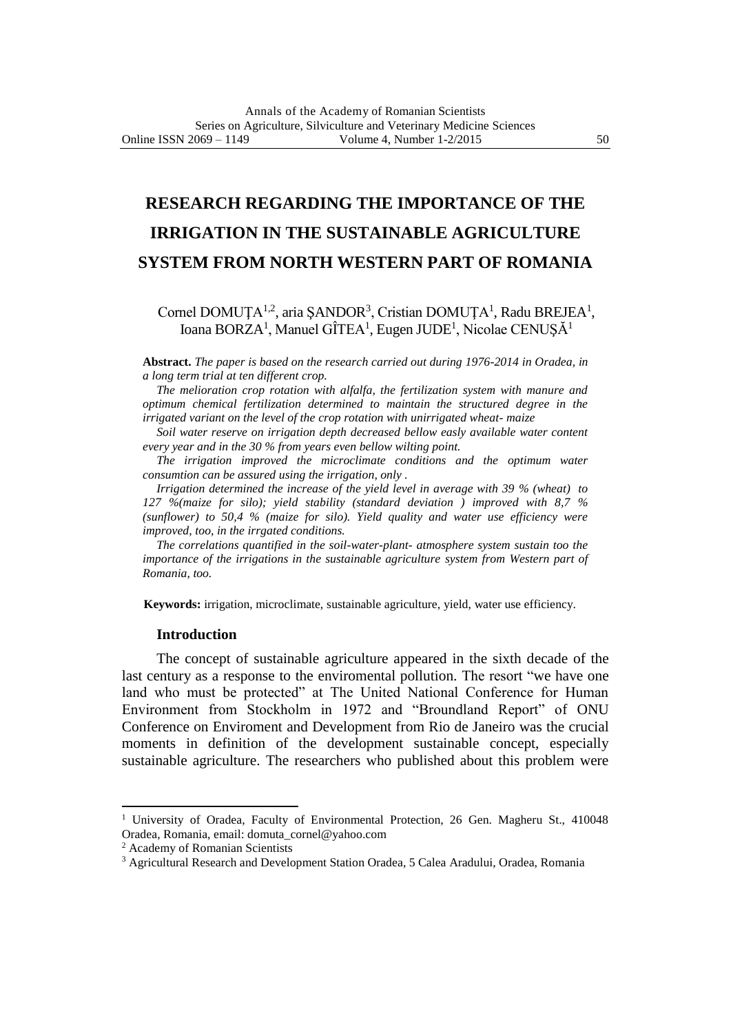# **RESEARCH REGARDING THE IMPORTANCE OF THE IRRIGATION IN THE SUSTAINABLE AGRICULTURE SYSTEM FROM NORTH WESTERN PART OF ROMANIA**

## Cornel DOMUȚA<sup>1,2</sup>, aria ȘANDOR<sup>3</sup>, Cristian DOMUȚA<sup>1</sup>, Radu BREJEA<sup>1</sup>, Ioana BORZA<sup>1</sup>, Manuel GÎTEA<sup>1</sup>, Eugen JUDE<sup>1</sup>, Nicolae CENUȘĂ<sup>1</sup>

**Abstract.** *The paper is based on the research carried out during 1976-2014 in Oradea, in a long term trial at ten different crop.*

*The melioration crop rotation with alfalfa, the fertilization system with manure and optimum chemical fertilization determined to maintain the structured degree in the irrigated variant on the level of the crop rotation with unirrigated wheat- maize* 

*Soil water reserve on irrigation depth decreased bellow easly available water content every year and in the 30 % from years even bellow wilting point.*

*The irrigation improved the microclimate conditions and the optimum water consumtion can be assured using the irrigation, only .*

*Irrigation determined the increase of the yield level in average with 39 % (wheat) to 127 %(maize for silo); yield stability (standard deviation ) improved with 8,7 % (sunflower) to 50,4 % (maize for silo). Yield quality and water use efficiency were improved, too, in the irrgated conditions.*

*The correlations quantified in the soil-water-plant- atmosphere system sustain too the importance of the irrigations in the sustainable agriculture system from Western part of Romania, too.*

**Keywords:** irrigation, microclimate, sustainable agriculture, yield, water use efficiency.

#### **Introduction**

The concept of sustainable agriculture appeared in the sixth decade of the last century as a response to the enviromental pollution. The resort "we have one land who must be protected" at The United National Conference for Human Environment from Stockholm in 1972 and "Broundland Report" of ONU Conference on Enviroment and Development from Rio de Janeiro was the crucial moments in definition of the development sustainable concept, especially sustainable agriculture. The researchers who published about this problem were

1

<sup>&</sup>lt;sup>1</sup> University of Oradea, Faculty of Environmental Protection, 26 Gen. Magheru St., 410048 Oradea, Romania, email: domuta\_cornel@yahoo.com

<sup>2</sup> Academy of Romanian Scientists

<sup>3</sup> Agricultural Research and Development Station Oradea, 5 Calea Aradului, Oradea, Romania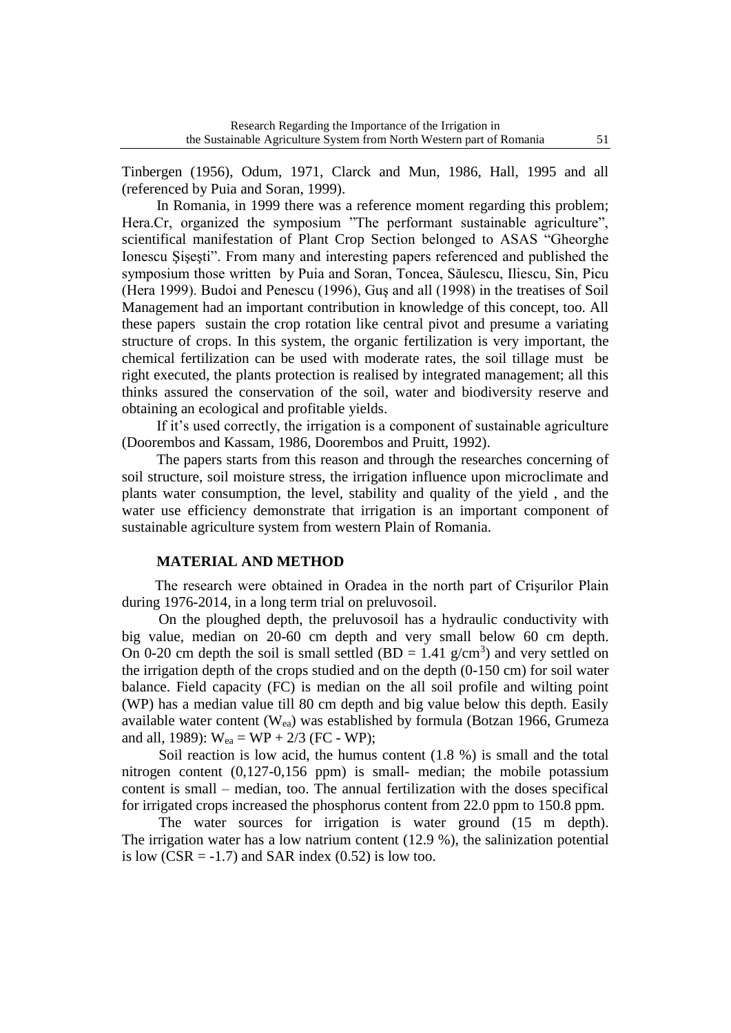Tinbergen (1956), Odum, 1971, Clarck and Mun, 1986, Hall, 1995 and all (referenced by Puia and Soran, 1999).

In Romania, in 1999 there was a reference moment regarding this problem; Hera.Cr, organized the symposium "The performant sustainable agriculture", scientifical manifestation of Plant Crop Section belonged to ASAS "Gheorghe Ionescu Şişeşti". From many and interesting papers referenced and published the symposium those written by Puia and Soran, Toncea, Săulescu, Iliescu, Sin, Picu (Hera 1999). Budoi and Penescu (1996), Guş and all (1998) in the treatises of Soil Management had an important contribution in knowledge of this concept, too. All these papers sustain the crop rotation like central pivot and presume a variating structure of crops. In this system, the organic fertilization is very important, the chemical fertilization can be used with moderate rates, the soil tillage must be right executed, the plants protection is realised by integrated management; all this thinks assured the conservation of the soil, water and biodiversity reserve and obtaining an ecological and profitable yields.

If it's used correctly, the irrigation is a component of sustainable agriculture (Doorembos and Kassam, 1986, Doorembos and Pruitt, 1992).

The papers starts from this reason and through the researches concerning of soil structure, soil moisture stress, the irrigation influence upon microclimate and plants water consumption, the level, stability and quality of the yield , and the water use efficiency demonstrate that irrigation is an important component of sustainable agriculture system from western Plain of Romania.

## **MATERIAL AND METHOD**

The research were obtained in Oradea in the north part of Crişurilor Plain during 1976-2014, in a long term trial on preluvosoil.

 On the ploughed depth, the preluvosoil has a hydraulic conductivity with big value, median on 20-60 cm depth and very small below 60 cm depth. On 0-20 cm depth the soil is small settled  $(BD = 1.41 \text{ g/cm}^3)$  and very settled on the irrigation depth of the crops studied and on the depth (0-150 cm) for soil water balance. Field capacity (FC) is median on the all soil profile and wilting point (WP) has a median value till 80 cm depth and big value below this depth. Easily available water content ( $W_{ea}$ ) was established by formula (Botzan 1966, Grumeza and all, 1989):  $W_{ea} = WP + 2/3$  (FC - WP);

 Soil reaction is low acid, the humus content (1.8 %) is small and the total nitrogen content (0,127-0,156 ppm) is small- median; the mobile potassium content is small – median, too. The annual fertilization with the doses specifical for irrigated crops increased the phosphorus content from 22.0 ppm to 150.8 ppm.

The water sources for irrigation is water ground  $(15 \text{ m depth}).$ The irrigation water has a low natrium content (12.9 %), the salinization potential is low  $(CSR = -1.7)$  and SAR index  $(0.52)$  is low too.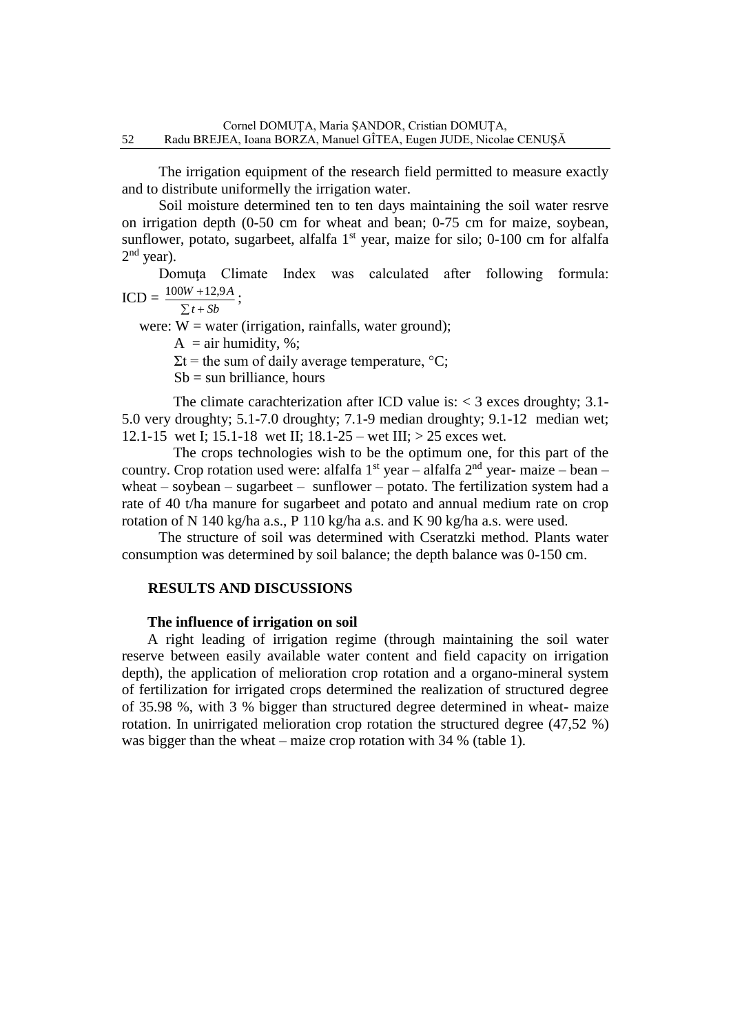The irrigation equipment of the research field permitted to measure exactly and to distribute uniformelly the irrigation water.

 Soil moisture determined ten to ten days maintaining the soil water resrve on irrigation depth (0-50 cm for wheat and bean; 0-75 cm for maize, soybean, sunflower, potato, sugarbeet, alfalfa  $1<sup>st</sup>$  year, maize for silo; 0-100 cm for alfalfa  $2<sup>nd</sup>$  year).

 Domuţa Climate Index was calculated after following formula:  $ICD = \frac{100W + 12.9A}{R}$ ;

$$
\frac{}{\sum t + Sb}
$$

were:  $W =$  water (irrigation, rainfalls, water ground);

 $A = \text{air humidity, %};$ 

 $\Sigma t$  = the sum of daily average temperature,  ${}^{\circ}C$ ;

 $Sb = \text{sun}$  brilliance, hours

The climate carachterization after ICD value is:  $<$  3 exces droughty; 3.1-5.0 very droughty; 5.1-7.0 droughty; 7.1-9 median droughty; 9.1-12 median wet; 12.1-15 wet I; 15.1-18 wet II; 18.1-25 – wet III; > 25 exces wet.

 The crops technologies wish to be the optimum one, for this part of the country. Crop rotation used were: alfalfa  $1<sup>st</sup>$  year – alfalfa  $2<sup>nd</sup>$  year- maize – bean – wheat – soybean – sugarbeet – sunflower – potato. The fertilization system had a rate of 40 t/ha manure for sugarbeet and potato and annual medium rate on crop rotation of N 140 kg/ha a.s., P 110 kg/ha a.s. and K 90 kg/ha a.s. were used.

 The structure of soil was determined with Cseratzki method. Plants water consumption was determined by soil balance; the depth balance was 0-150 cm.

## **RESULTS AND DISCUSSIONS**

## **The influence of irrigation on soil**

 A right leading of irrigation regime (through maintaining the soil water reserve between easily available water content and field capacity on irrigation depth), the application of melioration crop rotation and a organo-mineral system of fertilization for irrigated crops determined the realization of structured degree of 35.98 %, with 3 % bigger than structured degree determined in wheat- maize rotation. In unirrigated melioration crop rotation the structured degree (47,52 %) was bigger than the wheat – maize crop rotation with 34 % (table 1).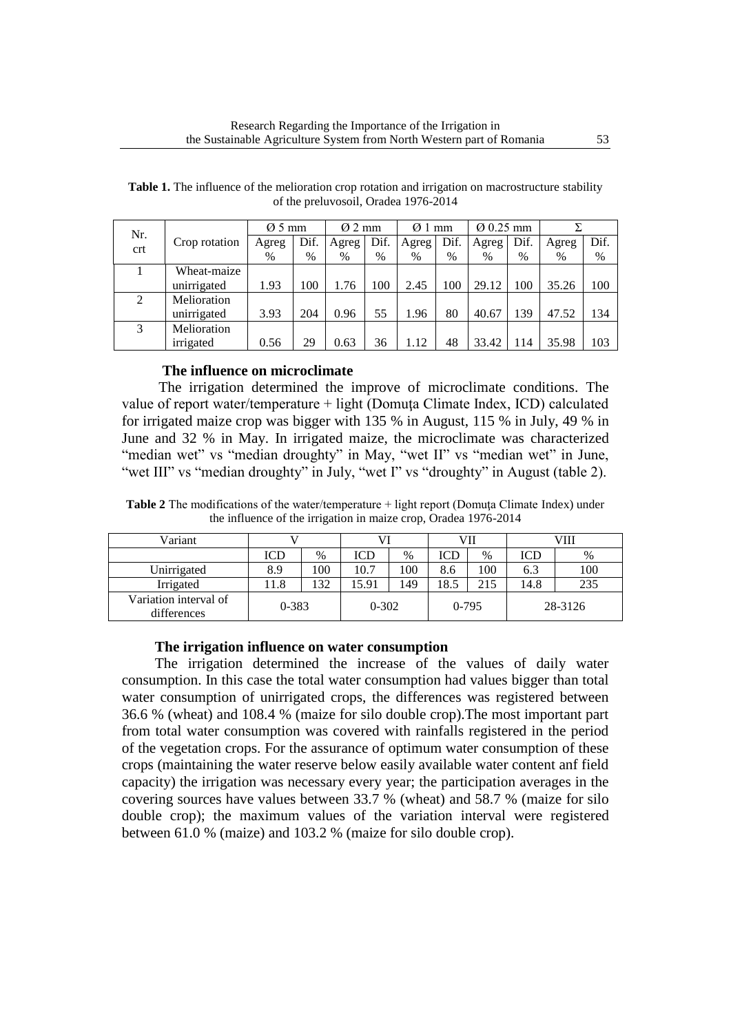| Nr. |               | $\varnothing$ 5 mm |      |       | $\varnothing$ 2 mm |       | $\varnothing$ 1 mm | $Q$ 0.25 mm |      |       |      |
|-----|---------------|--------------------|------|-------|--------------------|-------|--------------------|-------------|------|-------|------|
| crt | Crop rotation | Agreg              | Dif. | Agreg | Dif.               | Agreg | Dif.               | Agreg       | Dif. | Agreg | Dif. |
|     |               | $\%$               | $\%$ | $\%$  | $\%$               | $\%$  | $\%$               | $\%$        | $\%$ | $\%$  | $\%$ |
|     | Wheat-maize   |                    |      |       |                    |       |                    |             |      |       |      |
|     | unirrigated   | 1.93               | 100  | 1.76  | 100                | 2.45  | 100                | 29.12       | 100  | 35.26 | 100  |
| 2   | Melioration   |                    |      |       |                    |       |                    |             |      |       |      |
|     | unirrigated   | 3.93               | 204  | 0.96  | 55                 | 1.96  | 80                 | 40.67       | 139  | 47.52 | 134  |
| 3   | Melioration   |                    |      |       |                    |       |                    |             |      |       |      |
|     | irrigated     | 0.56               | 29   | 0.63  | 36                 | 1.12  | 48                 | 33.42       | 114  | 35.98 | 103  |

**Table 1.** The influence of the melioration crop rotation and irrigation on macrostructure stability of the preluvosoil, Oradea 1976-2014

## **The influence on microclimate**

 The irrigation determined the improve of microclimate conditions. The value of report water/temperature + light (Domuţa Climate Index, ICD) calculated for irrigated maize crop was bigger with 135 % in August, 115 % in July, 49 % in June and 32 % in May. In irrigated maize, the microclimate was characterized "median wet" vs "median droughty" in May, "wet II" vs "median wet" in June, "wet III" vs "median droughty" in July, "wet I" vs "droughty" in August (table 2).

**Table 2** The modifications of the water/temperature + light report (Domuţa Climate Index) under the influence of the irrigation in maize crop, Oradea 1976-2014

| Variant                                           |      |           |       |           | VII  |               | VIII |     |  |
|---------------------------------------------------|------|-----------|-------|-----------|------|---------------|------|-----|--|
|                                                   | ICD  | $\%$      | ICD   | $\%$      | ICD  | $\%$          | ICD  | %   |  |
| Unirrigated                                       | 8.9  | 100       | 10.7  | 100       | 8.6  | $100^{\circ}$ | 6.3  | 100 |  |
| Irrigated                                         | 11.8 | 132       | 15.91 | 149       | 18.5 | 215           | 14.8 | 235 |  |
| Variation interval of<br>$0 - 383$<br>differences |      | $0 - 302$ |       | $0 - 795$ |      | 28-3126       |      |     |  |

#### **The irrigation influence on water consumption**

 The irrigation determined the increase of the values of daily water consumption. In this case the total water consumption had values bigger than total water consumption of unirrigated crops, the differences was registered between 36.6 % (wheat) and 108.4 % (maize for silo double crop).The most important part from total water consumption was covered with rainfalls registered in the period of the vegetation crops. For the assurance of optimum water consumption of these crops (maintaining the water reserve below easily available water content anf field capacity) the irrigation was necessary every year; the participation averages in the covering sources have values between 33.7 % (wheat) and 58.7 % (maize for silo double crop); the maximum values of the variation interval were registered between 61.0 % (maize) and 103.2 % (maize for silo double crop).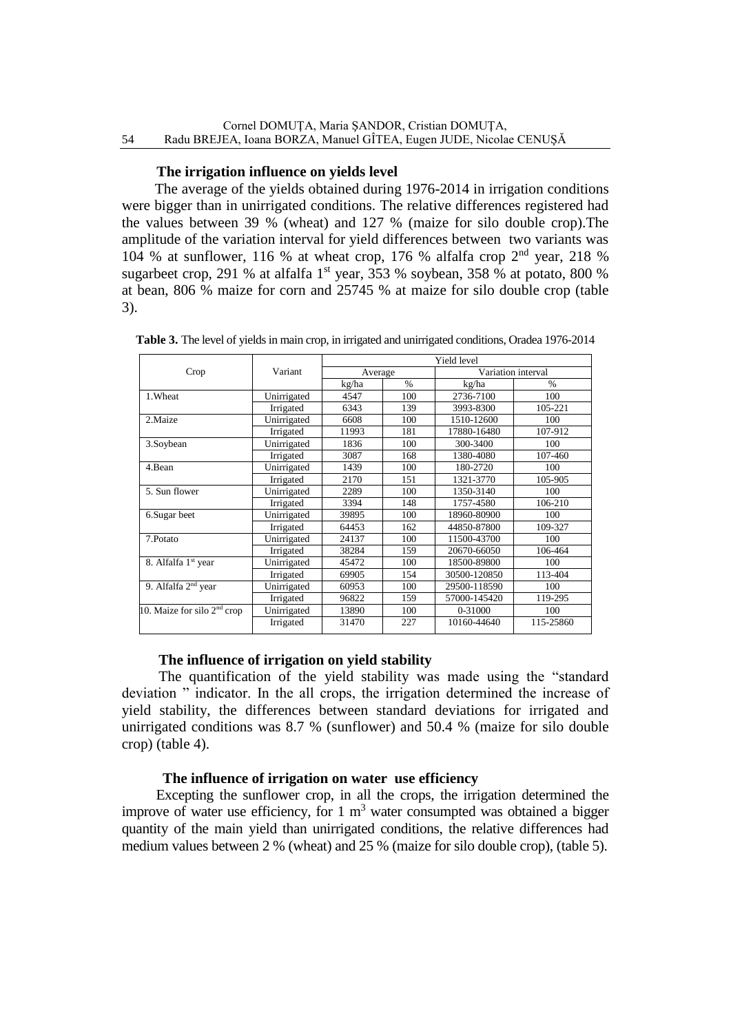## **The irrigation influence on yields level**

 The average of the yields obtained during 1976-2014 in irrigation conditions were bigger than in unirrigated conditions. The relative differences registered had the values between 39 % (wheat) and 127 % (maize for silo double crop).The amplitude of the variation interval for yield differences between two variants was 104 % at sunflower, 116 % at wheat crop, 176 % alfalfa crop  $2<sup>nd</sup>$  year, 218 % sugarbeet crop, 291 % at alfalfa 1<sup>st</sup> year, 353 % soybean, 358 % at potato, 800 % at bean, 806 % maize for corn and 25745 % at maize for silo double crop (table 3).

|                                         |             | Yield level |               |                    |               |  |  |
|-----------------------------------------|-------------|-------------|---------------|--------------------|---------------|--|--|
| Crop                                    | Variant     | Average     |               | Variation interval |               |  |  |
|                                         |             | kg/ha       | $\frac{0}{0}$ | kg/ha              | $\frac{0}{0}$ |  |  |
| 1. Wheat                                | Unirrigated | 4547        | 100           | 2736-7100          | 100           |  |  |
|                                         | Irrigated   | 6343        | 139           | 3993-8300          | 105-221       |  |  |
| 2. Maize                                | Unirrigated | 6608        | 100           | 1510-12600         | 100           |  |  |
|                                         | Irrigated   | 11993       | 181           | 17880-16480        | 107-912       |  |  |
| 3.Soybean                               | Unirrigated | 1836        | 100           | 300-3400           | 100           |  |  |
|                                         | Irrigated   | 3087        | 168           | 1380-4080          | 107-460       |  |  |
| 4.Bean                                  | Unirrigated | 1439        | 100           | 180-2720           | 100           |  |  |
|                                         | Irrigated   | 2170        | 151           | 1321-3770          | 105-905       |  |  |
| 5. Sun flower                           | Unirrigated | 2289        | 100           | 1350-3140          | 100           |  |  |
|                                         | Irrigated   | 3394        | 148           | 1757-4580          | 106-210       |  |  |
| 6. Sugar beet                           | Unirrigated | 39895       | 100           | 18960-80900        | 100           |  |  |
|                                         | Irrigated   | 64453       | 162           | 44850-87800        | 109-327       |  |  |
| 7.Potato                                | Unirrigated | 24137       | 100           | 11500-43700        | 100           |  |  |
|                                         | Irrigated   | 38284       | 159           | 20670-66050        | 106-464       |  |  |
| 8. Alfalfa 1st year                     | Unirrigated | 45472       | 100           | 18500-89800        | 100           |  |  |
|                                         | Irrigated   | 69905       | 154           | 30500-120850       | 113-404       |  |  |
| 9. Alfalfa $2nd$ year                   | Unirrigated | 60953       | 100           | 29500-118590       | 100           |  |  |
|                                         | Irrigated   | 96822       | 159           | 57000-145420       | 119-295       |  |  |
| 10. Maize for silo 2 <sup>nd</sup> crop | Unirrigated | 13890       | 100           | 0-31000            | 100           |  |  |
|                                         | Irrigated   | 31470       | 227           | 10160-44640        | 115-25860     |  |  |

**Table 3.** The level of yields in main crop, in irrigated and unirrigated conditions, Oradea 1976-2014

## **The influence of irrigation on yield stability**

 The quantification of the yield stability was made using the "standard deviation " indicator. In the all crops, the irrigation determined the increase of yield stability, the differences between standard deviations for irrigated and unirrigated conditions was 8.7 % (sunflower) and 50.4 % (maize for silo double crop) (table 4).

## **The influence of irrigation on water use efficiency**

 Excepting the sunflower crop, in all the crops, the irrigation determined the improve of water use efficiency, for  $1 \text{ m}^3$  water consumpted was obtained a bigger quantity of the main yield than unirrigated conditions, the relative differences had medium values between 2 % (wheat) and 25 % (maize for silo double crop), (table 5).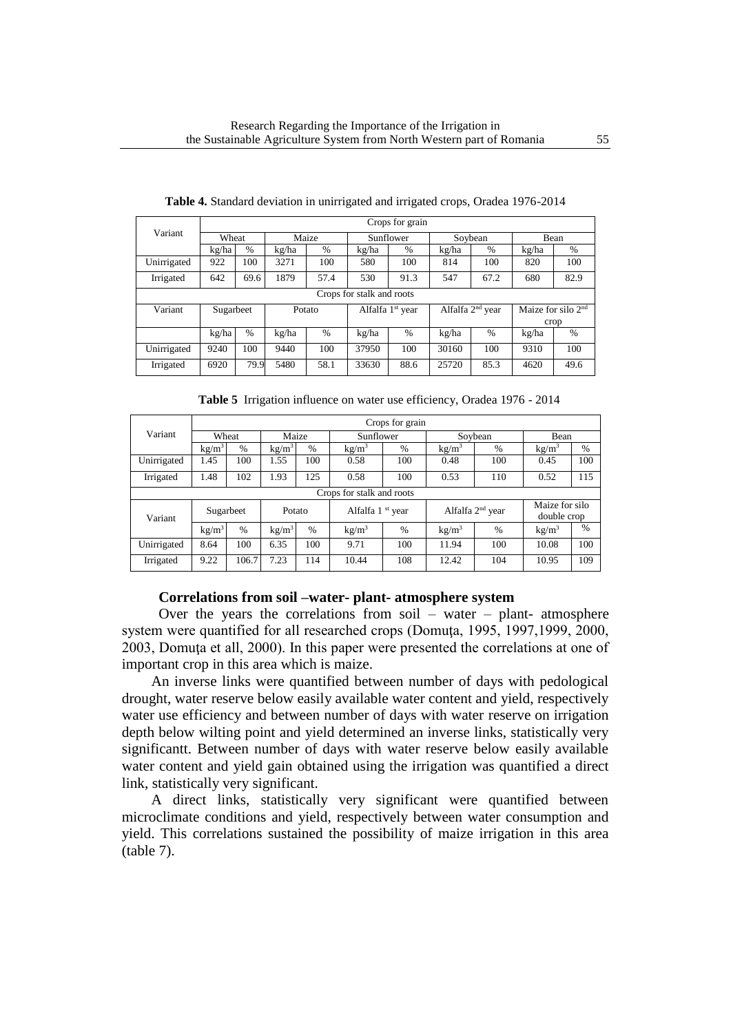|             | Crops for grain           |      |        |      |                              |      |                              |               |                      |      |
|-------------|---------------------------|------|--------|------|------------------------------|------|------------------------------|---------------|----------------------|------|
| Variant     | Wheat                     |      | Maize  |      | Sunflower                    |      | Soybean                      |               | Bean                 |      |
|             | kg/ha                     | $\%$ | kg/ha  | $\%$ | kg/ha                        | $\%$ | kg/ha                        | $\%$          | kg/ha                | $\%$ |
| Unirrigated | 922                       | 100  | 3271   | 100  | 580                          | 100  | 814                          | 100           | 820                  | 100  |
| Irrigated   | 642                       | 69.6 | 1879   | 57.4 | 530                          | 91.3 | 547                          | 67.2          | 680                  | 82.9 |
|             | Crops for stalk and roots |      |        |      |                              |      |                              |               |                      |      |
| Variant     | Sugarbeet                 |      | Potato |      | Alfalfa 1 <sup>st</sup> year |      | Alfalfa 2 <sup>nd</sup> year |               | Maize for silo $2nd$ |      |
|             |                           |      |        |      |                              |      |                              |               |                      | crop |
|             | kg/ha                     | $\%$ | kg/ha  | $\%$ | kg/ha                        | $\%$ | kg/ha                        | $\frac{0}{0}$ | kg/ha                | $\%$ |
| Unirrigated | 9240                      | 100  | 9440   | 100  | 37950                        | 100  | 30160                        | 100           | 9310                 | 100  |
| Irrigated   | 6920                      | 79.9 | 5480   | 58.1 | 33630                        | 88.6 | 25720                        | 85.3          | 4620                 | 49.6 |

**Table 4.** Standard deviation in unirrigated and irrigated crops, Oradea 1976-2014

|  | Table 5 Irrigation influence on water use efficiency, Oradea 1976 - 2014 |  |
|--|--------------------------------------------------------------------------|--|
|  |                                                                          |  |

|             | Crops for grain           |               |                   |      |                              |      |                    |      |                               |               |
|-------------|---------------------------|---------------|-------------------|------|------------------------------|------|--------------------|------|-------------------------------|---------------|
| Variant     | Wheat                     |               | Maize             |      | Sunflower                    |      | Soybean            |      | Bean                          |               |
|             | kg/m <sup>3</sup>         | $\frac{0}{6}$ | kg/m <sup>3</sup> | $\%$ | kg/m <sup>3</sup>            | $\%$ | kg/m <sup>3</sup>  | $\%$ | kg/m <sup>3</sup>             | $\%$          |
| Unirrigated | 1.45                      | 100           | 1.55              | 100  | 0.58                         | 100  | 0.48               | 100  | 0.45                          | 100           |
| Irrigated   | 1.48                      | 102           | 1.93              | 125  | 0.58                         | 100  | 0.53               | 110  | 0.52                          | 115           |
|             | Crops for stalk and roots |               |                   |      |                              |      |                    |      |                               |               |
| Variant     | Sugarbeet                 |               | Potato            |      | Alfalfa 1 <sup>st</sup> year |      | Alfalfa $2nd$ year |      | Maize for silo<br>double crop |               |
|             | kg/m <sup>3</sup>         | $\%$          | kg/m <sup>3</sup> | $\%$ | kg/m <sup>3</sup>            | $\%$ | kg/m <sup>3</sup>  | $\%$ | kg/m <sup>3</sup>             | $\frac{0}{0}$ |
| Unirrigated | 8.64                      | 100           | 6.35              | 100  | 9.71                         | 100  | 11.94              | 100  | 10.08                         | 100           |
| Irrigated   | 9.22                      | 106.7         | 7.23              | 114  | 10.44                        | 108  | 12.42              | 104  | 10.95                         | 109           |

## **Correlations from soil –water- plant- atmosphere system**

Over the years the correlations from soil – water – plant- atmosphere system were quantified for all researched crops (Domuța, 1995, 1997, 1999, 2000, 2003, Domuţa et all, 2000). In this paper were presented the correlations at one of important crop in this area which is maize.

 An inverse links were quantified between number of days with pedological drought, water reserve below easily available water content and yield, respectively water use efficiency and between number of days with water reserve on irrigation depth below wilting point and yield determined an inverse links, statistically very significantt. Between number of days with water reserve below easily available water content and yield gain obtained using the irrigation was quantified a direct link, statistically very significant.

 A direct links, statistically very significant were quantified between microclimate conditions and yield, respectively between water consumption and yield. This correlations sustained the possibility of maize irrigation in this area (table 7).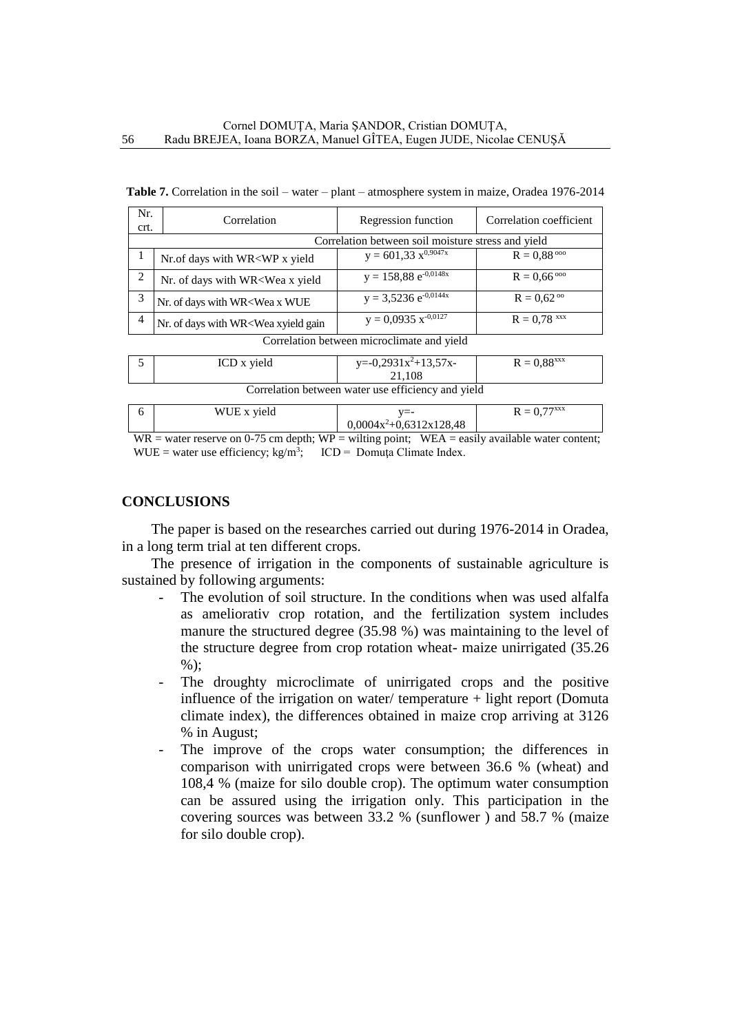| Nr.<br>crt.    | Correlation                                                                                                                                                  | Regression function                                | Correlation coefficient      |  |  |  |  |  |
|----------------|--------------------------------------------------------------------------------------------------------------------------------------------------------------|----------------------------------------------------|------------------------------|--|--|--|--|--|
|                |                                                                                                                                                              | Correlation between soil moisture stress and yield |                              |  |  |  |  |  |
|                | Nr.of days with WR <wp td="" x="" yield<=""><td><math>y = 601,33 \overline{x^{0,9047x}}</math></td><td><math>R = 0.88\degree</math></td></wp>                | $y = 601,33 \overline{x^{0,9047x}}$                | $R = 0.88\degree$            |  |  |  |  |  |
| 2              | Nr. of days with WR <wea td="" x="" yield<=""><td><math>y = 158,88 \overline{e^{-0.0148x}}</math></td><td><math>R = 0,66^{\circ\circ\circ}</math></td></wea> | $y = 158,88 \overline{e^{-0.0148x}}$               | $R = 0,66^{\circ\circ\circ}$ |  |  |  |  |  |
| 3              | Nr. of days with WR <wea td="" wue<="" x=""><td><math>y = 3,5236 e^{-0.0144x}</math></td><td><math>R = 0.62\degree</math></td></wea>                         | $y = 3,5236 e^{-0.0144x}$                          | $R = 0.62\degree$            |  |  |  |  |  |
| $\overline{4}$ | Nr. of days with WR <wea gain<="" td="" xyield=""><td><math>y = 0,0935 x^{\frac{0,0127}{0}}</math></td><td><math>R = 0.78</math> xxx</td></wea>              | $y = 0,0935 x^{\frac{0,0127}{0}}$                  | $R = 0.78$ xxx               |  |  |  |  |  |
|                | Correlation between microclimate and vield                                                                                                                   |                                                    |                              |  |  |  |  |  |

Correlation between microclimate and yield

|                                                    | ICD x yield | $y=-0,2931x^2+13,57x-$ | $R = 0.88$ <sup>xxx</sup> |  |  |  |  |  |
|----------------------------------------------------|-------------|------------------------|---------------------------|--|--|--|--|--|
|                                                    |             | 21.108                 |                           |  |  |  |  |  |
| Correlation between water use efficiency and yield |             |                        |                           |  |  |  |  |  |

| WUE x yield                                                                                         |                           | $R = 0.77^{xxx}$ |
|-----------------------------------------------------------------------------------------------------|---------------------------|------------------|
|                                                                                                     | $0.0004x^2+0.6312x128.48$ |                  |
| $WR = water$ recepy on 0.75 cm denth: $WP =$ wilting point: $WRA =$ easily available water content: |                           |                  |

 $t$ ing point;  $WEA =$  easily available water content; WUE = water use efficiency;  $kg/m^3$ ; ICD = Domuța Climate Index.

## **CONCLUSIONS**

 The paper is based on the researches carried out during 1976-2014 in Oradea, in a long term trial at ten different crops.

 The presence of irrigation in the components of sustainable agriculture is sustained by following arguments:

- The evolution of soil structure. In the conditions when was used alfalfa as ameliorativ crop rotation, and the fertilization system includes manure the structured degree (35.98 %) was maintaining to the level of the structure degree from crop rotation wheat- maize unirrigated (35.26 %);
- The droughty microclimate of unirrigated crops and the positive influence of the irrigation on water/ temperature  $+$  light report (Domuta climate index), the differences obtained in maize crop arriving at 3126 % in August;
- The improve of the crops water consumption; the differences in comparison with unirrigated crops were between 36.6 % (wheat) and 108,4 % (maize for silo double crop). The optimum water consumption can be assured using the irrigation only. This participation in the covering sources was between 33.2 % (sunflower ) and 58.7 % (maize for silo double crop).